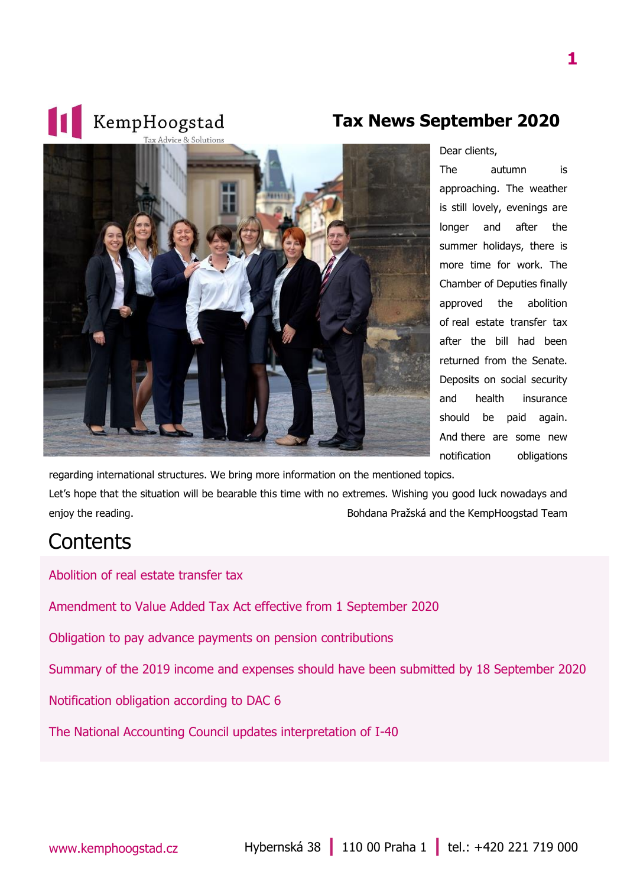

**Tax News September 2020**

Dear clients,

The autumn is approaching. The weather is still lovely, evenings are longer and after the summer holidays, there is more time for work. The Chamber of Deputies finally approved the abolition of real estate transfer tax after the bill had been returned from the Senate. Deposits on social security and health insurance should be paid again. And there are some new notification obligations

regarding international structures. We bring more information on the mentioned topics.

Let's hope that the situation will be bearable this time with no extremes. Wishing you good luck nowadays and enjoy the reading. Bohdana Pražská and the KempHoogstad Team

#### **Contents**

[Abolition of real estate transfer tax](#page-1-0)

[Amendment to Value Added Tax Act effective from 1](#page-1-1) September 2020

[Obligation to pay advance payments on pension contributions](#page-2-0)

[Summary of the 2019 income and expenses should have been submitted by 18 September 2020](#page-2-1)

[Notification obligation according to DAC 6](#page-2-2)

[The National Accounting Council updates interpretation of](#page-3-0) I-40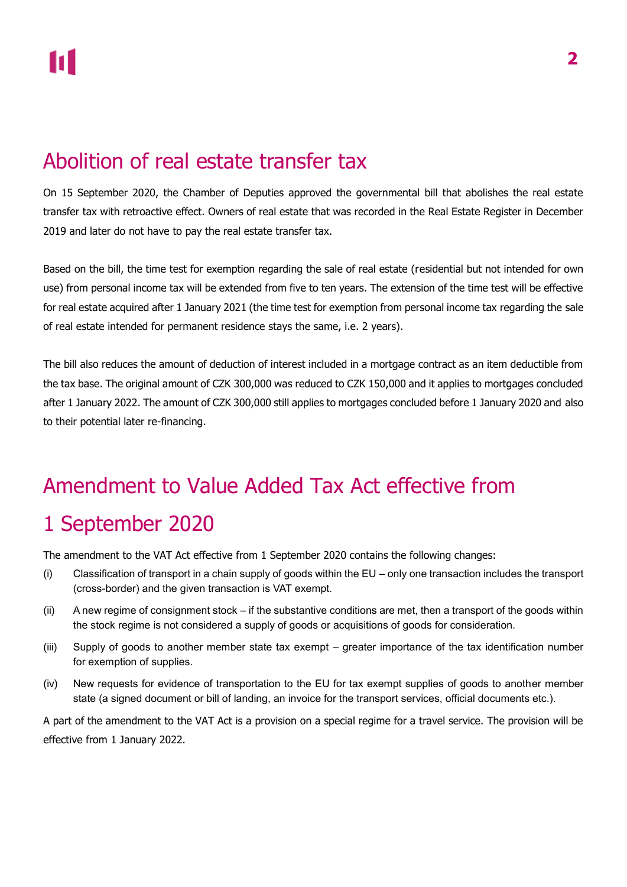### <span id="page-1-0"></span>Abolition of real estate transfer tax

On 15 September 2020, the Chamber of Deputies approved the governmental bill that abolishes the real estate transfer tax with retroactive effect. Owners of real estate that was recorded in the Real Estate Register in December 2019 and later do not have to pay the real estate transfer tax.

Based on the bill, the time test for exemption regarding the sale of real estate (residential but not intended for own use) from personal income tax will be extended from five to ten years. The extension of the time test will be effective for real estate acquired after 1 January 2021 (the time test for exemption from personal income tax regarding the sale of real estate intended for permanent residence stays the same, i.e. 2 years).

The bill also reduces the amount of deduction of interest included in a mortgage contract as an item deductible from the tax base. The original amount of CZK 300,000 was reduced to CZK 150,000 and it applies to mortgages concluded after 1 January 2022. The amount of CZK 300,000 still applies to mortgages concluded before 1 January 2020 and also to their potential later re-financing.

# <span id="page-1-1"></span>Amendment to Value Added Tax Act effective from

### 1 September 2020

The amendment to the VAT Act effective from 1 September 2020 contains the following changes:

- (i) Classification of transport in a chain supply of goods within the EU only one transaction includes the transport (cross-border) and the given transaction is VAT exempt.
- (ii) A new regime of consignment stock if the substantive conditions are met, then a transport of the goods within the stock regime is not considered a supply of goods or acquisitions of goods for consideration.
- (iii) Supply of goods to another member state tax exempt greater importance of the tax identification number for exemption of supplies.
- (iv) New requests for evidence of transportation to the EU for tax exempt supplies of goods to another member state (a signed document or bill of landing, an invoice for the transport services, official documents etc.).

A part of the amendment to the VAT Act is a provision on a special regime for a travel service. The provision will be effective from 1 January 2022.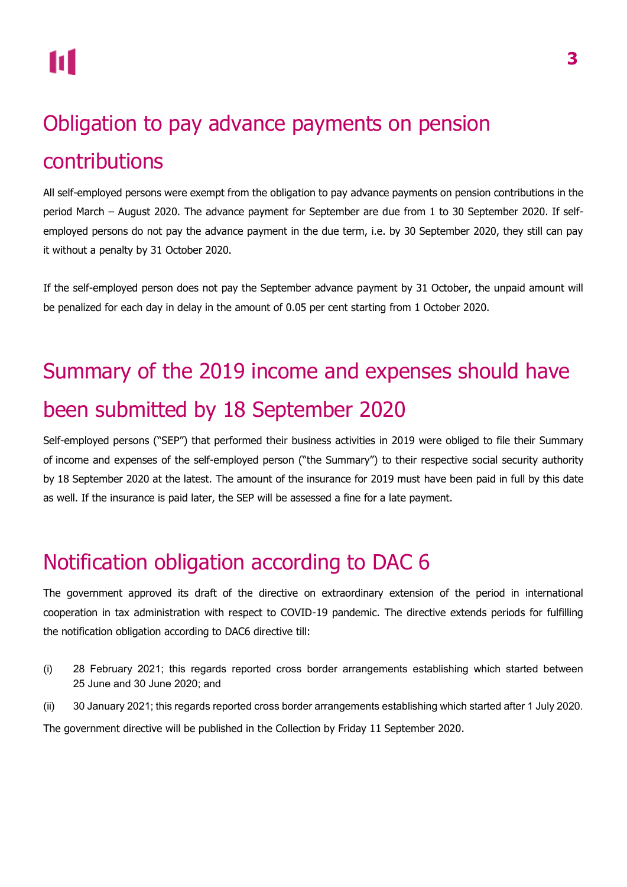## <span id="page-2-0"></span>Obligation to pay advance payments on pension contributions

All self-employed persons were exempt from the obligation to pay advance payments on pension contributions in the period March – August 2020. The advance payment for September are due from 1 to 30 September 2020. If selfemployed persons do not pay the advance payment in the due term, i.e. by 30 September 2020, they still can pay it without a penalty by 31 October 2020.

If the self-employed person does not pay the September advance payment by 31 October, the unpaid amount will be penalized for each day in delay in the amount of 0.05 per cent starting from 1 October 2020.

## <span id="page-2-1"></span>Summary of the 2019 income and expenses should have been submitted by 18 September 2020

Self-employed persons ("SEP") that performed their business activities in 2019 were obliged to file their Summary of income and expenses of the self-employed person ("the Summary") to their respective social security authority by 18 September 2020 at the latest. The amount of the insurance for 2019 must have been paid in full by this date as well. If the insurance is paid later, the SEP will be assessed a fine for a late payment.

## <span id="page-2-2"></span>Notification obligation according to DAC 6

The government approved its draft of the directive on extraordinary extension of the period in international cooperation in tax administration with respect to COVID-19 pandemic. The directive extends periods for fulfilling the notification obligation according to DAC6 directive till:

- (i) 28 February 2021; this regards reported cross border arrangements establishing which started between 25 June and 30 June 2020; and
- (ii) 30 January 2021; this regards reported cross border arrangements establishing which started after 1 July 2020.

The government directive will be published in the Collection by Friday 11 September 2020.